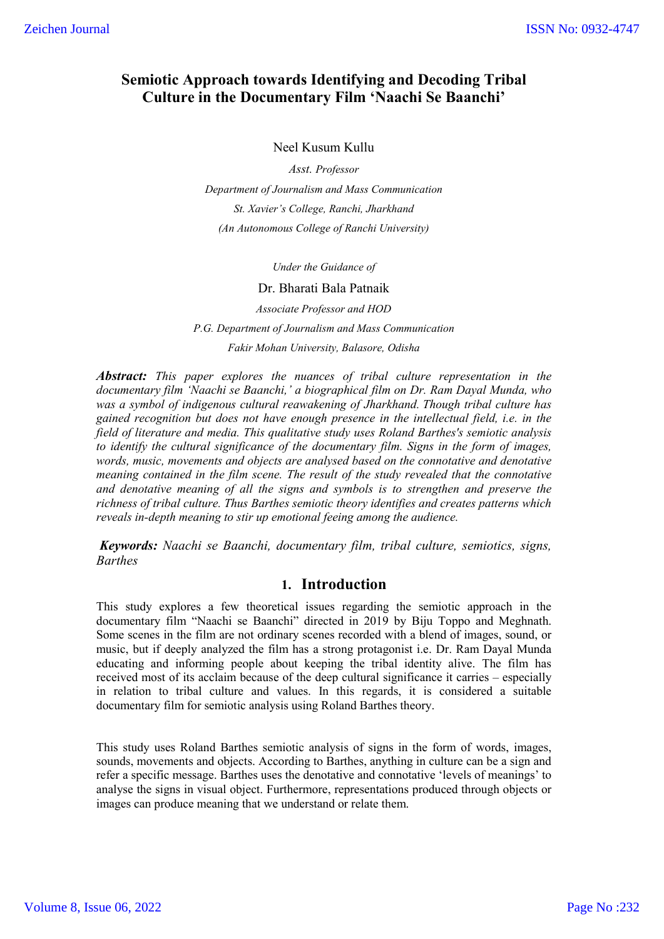# **Semiotic Approach towards Identifying and Decoding Tribal Culture in the Documentary Film 'Naachi Se Baanchi'**

### Neel Kusum Kullu

*Asst. Professor Department of Journalism and Mass Communication St. Xavier's College, Ranchi, Jharkhand (An Autonomous College of Ranchi University)*

*Under the Guidance of*

### Dr. Bharati Bala Patnaik

*Associate Professor and HOD P.G. Department of Journalism and Mass Communication*

*Fakir Mohan University, Balasore, Odisha*

*Abstract: This paper explores the nuances of tribal culture representation in the documentary film 'Naachi se Baanchi,' a biographical film on Dr. Ram Dayal Munda, who was a symbol of indigenous cultural reawakening of Jharkhand. Though tribal culture has gained recognition but does not have enough presence in the intellectual field, i.e. in the field of literature and media. This qualitative study uses Roland Barthes's semiotic analysis to identify the cultural significance of the documentary film. Signs in the form of images, words, music, movements and objects are analysed based on the connotative and denotative meaning contained in the film scene. The result of the study revealed that the connotative and denotative meaning of all the signs and symbols is to strengthen and preserve the richness of tribal culture. Thus Barthes semiotic theory identifies and creates patterns which reveals in-depth meaning to stir up emotional feeing among the audience.*

*Keywords: Naachi se Baanchi, documentary film, tribal culture, semiotics, signs, Barthes*

# **1. Introduction**

This study explores a few theoretical issues regarding the semiotic approach in the documentary film "Naachi se Baanchi" directed in 2019 by Biju Toppo and Meghnath. Some scenes in the film are not ordinary scenes recorded with a blend of images, sound, or music, but if deeply analyzed the film has a strong protagonist i.e. Dr. Ram Dayal Munda educating and informing people about keeping the tribal identity alive. The film has received most of its acclaim because of the deep cultural significance it carries – especially in relation to tribal culture and values. In this regards, it is considered a suitable documentary film for semiotic analysis using Roland Barthes theory.

This study uses Roland Barthes semiotic analysis of signs in the form of words, images, sounds, movements and objects. According to Barthes, anything in culture can be a sign and refer a specific message. Barthes uses the denotative and connotative 'levels of meanings' to analyse the signs in visual object. Furthermore, representations produced through objects or images can produce meaning that we understand or relate them.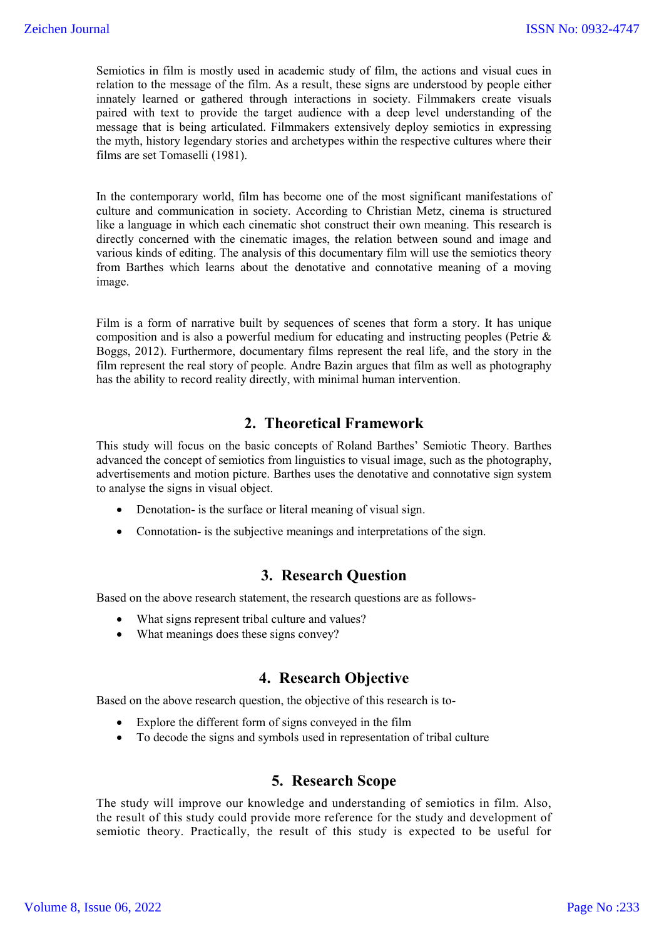Semiotics in film is mostly used in academic study of film, the actions and visual cues in relation to the message of the film. As a result, these signs are understood by people either innately learned or gathered through interactions in society. Filmmakers create visuals paired with text to provide the target audience with a deep level understanding of the message that is being articulated. Filmmakers extensively deploy semiotics in expressing the myth, history legendary stories and archetypes within the respective cultures where their films are set Tomaselli (1981).

In the contemporary world, film has become one of the most significant manifestations of culture and communication in society. According to Christian Metz, cinema is structured like a language in which each cinematic shot construct their own meaning. This research is directly concerned with the cinematic images, the relation between sound and image and various kinds of editing. The analysis of this documentary film will use the semiotics theory from Barthes which learns about the denotative and connotative meaning of a moving image.

Film is a form of narrative built by sequences of scenes that form a story. It has unique composition and is also a powerful medium for educating and instructing peoples (Petrie & Boggs, 2012). Furthermore, documentary films represent the real life, and the story in the film represent the real story of people. Andre Bazin argues that film as well as photography has the ability to record reality directly, with minimal human intervention.

# **2. Theoretical Framework**

This study will focus on the basic concepts of Roland Barthes' Semiotic Theory. Barthes advanced the concept of semiotics from linguistics to visual image, such as the photography, advertisements and motion picture. Barthes uses the denotative and connotative sign system to analyse the signs in visual object.

- Denotation- is the surface or literal meaning of visual sign.
- Connotation- is the subjective meanings and interpretations of the sign.

### **3. Research Question**

Based on the above research statement, the research questions are as follows-

- What signs represent tribal culture and values?
- What meanings does these signs convey?

# **4. Research Objective**

Based on the above research question, the objective of this research is to-

- Explore the different form of signs conveyed in the film
- To decode the signs and symbols used in representation of tribal culture

### **5. Research Scope**

The study will improve our knowledge and understanding of semiotics in film. Also, the result of this study could provide more reference for the study and development of semiotic theory. Practically, the result of this study is expected to be useful for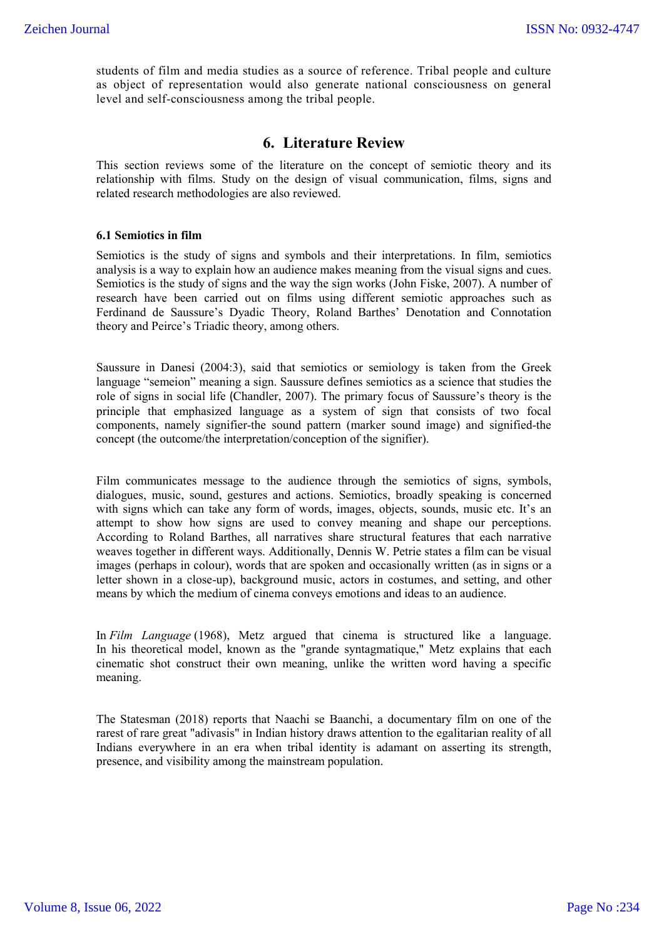students of film and media studies as a source of reference. Tribal people and culture as object of representation would also generate national consciousness on general level and self-consciousness among the tribal people.

### **6. Literature Review**

This section reviews some of the literature on the concept of semiotic theory and its relationship with films. Study on the design of visual communication, films, signs and related research methodologies are also reviewed.

#### **6.1 Semiotics in film**

Semiotics is the study of signs and symbols and their interpretations. In film, semiotics analysis is a way to explain how an audience makes meaning from the visual signs and cues. Semiotics is the study of signs and the way the sign works (John Fiske, 2007). A number of research have been carried out on films using different semiotic approaches such as Ferdinand de Saussure's Dyadic Theory, Roland Barthes' Denotation and Connotation theory and Peirce's Triadic theory, among others.

Saussure in Danesi (2004:3), said that semiotics or semiology is taken from the Greek language "semeion" meaning a sign. Saussure defines semiotics as a science that studies the role of signs in social life (Chandler, 2007). The primary focus of Saussure's theory is the principle that emphasized language as a system of sign that consists of two focal components, namely signifier-the sound pattern (marker sound image) and signified-the concept (the outcome/the interpretation/conception of the signifier).

Film communicates message to the audience through the semiotics of signs, symbols, dialogues, music, sound, gestures and actions. Semiotics, broadly speaking is concerned with signs which can take any form of words, images, objects, sounds, music etc. It's an attempt to show how signs are used to convey meaning and shape our perceptions. According to Roland Barthes, all narratives share structural features that each narrative weaves together in different ways. Additionally, Dennis W. Petrie states a film can be visual images (perhaps in colour), words that are spoken and occasionally written (as in signs or a letter shown in a close-up), background music, actors in costumes, and setting, and other means by which the medium of cinema conveys emotions and ideas to an audience.

In *Film Language* (1968), Metz argued that cinema is structured like a language. In his theoretical model, known as the "grande syntagmatique," Metz explains that each cinematic shot construct their own meaning, unlike the written word having a specific meaning.

The Statesman (2018) reports that Naachi se Baanchi, a documentary film on one of the rarest of rare great "adivasis" in Indian history draws attention to the egalitarian reality of all Indians everywhere in an era when tribal identity is adamant on asserting its strength, presence, and visibility among the mainstream population.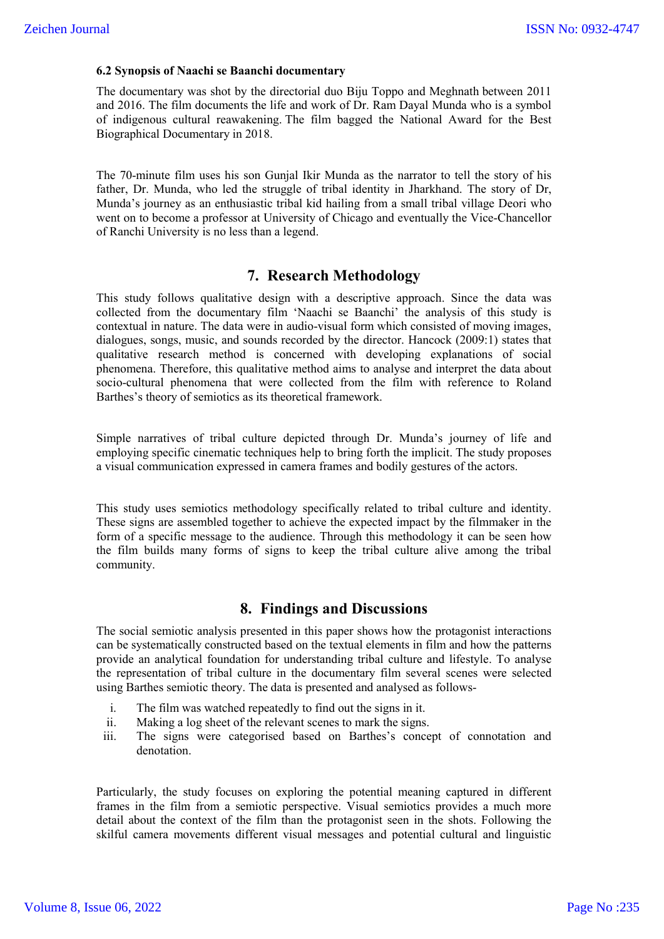### **6.2 Synopsis of Naachi se Baanchi documentary**

The documentary was shot by the directorial duo Biju Toppo and Meghnath between 2011 and 2016. The film documents the life and work of Dr. Ram Dayal Munda who is a symbol of indigenous cultural reawakening. The film bagged the National Award for the Best Biographical Documentary in 2018.

The 70-minute film uses his son Gunjal Ikir Munda as the narrator to tell the story of his father, Dr. Munda, who led the struggle of tribal identity in Jharkhand. The story of Dr, Munda's journey as an enthusiastic tribal kid hailing from a small tribal village Deori who went on to become a professor at University of Chicago and eventually the Vice-Chancellor of Ranchi University is no less than a legend.

# **7. Research Methodology**

This study follows qualitative design with a descriptive approach. Since the data was collected from the documentary film 'Naachi se Baanchi' the analysis of this study is contextual in nature. The data were in audio-visual form which consisted of moving images, dialogues, songs, music, and sounds recorded by the director. Hancock (2009:1) states that qualitative research method is concerned with developing explanations of social phenomena. Therefore, this qualitative method aims to analyse and interpret the data about socio-cultural phenomena that were collected from the film with reference to Roland Barthes's theory of semiotics as its theoretical framework.

Simple narratives of tribal culture depicted through Dr. Munda's journey of life and employing specific cinematic techniques help to bring forth the implicit. The study proposes a visual communication expressed in camera frames and bodily gestures of the actors.

This study uses semiotics methodology specifically related to tribal culture and identity. These signs are assembled together to achieve the expected impact by the filmmaker in the form of a specific message to the audience. Through this methodology it can be seen how the film builds many forms of signs to keep the tribal culture alive among the tribal community.

### **8. Findings and Discussions**

The social semiotic analysis presented in this paper shows how the protagonist interactions can be systematically constructed based on the textual elements in film and how the patterns provide an analytical foundation for understanding tribal culture and lifestyle. To analyse the representation of tribal culture in the documentary film several scenes were selected using Barthes semiotic theory. The data is presented and analysed as follows-

- i. The film was watched repeatedly to find out the signs in it.
- ii. Making a log sheet of the relevant scenes to mark the signs.
- iii. The signs were categorised based on Barthes's concept of connotation and denotation.

Particularly, the study focuses on exploring the potential meaning captured in different frames in the film from a semiotic perspective. Visual semiotics provides a much more detail about the context of the film than the protagonist seen in the shots. Following the skilful camera movements different visual messages and potential cultural and linguistic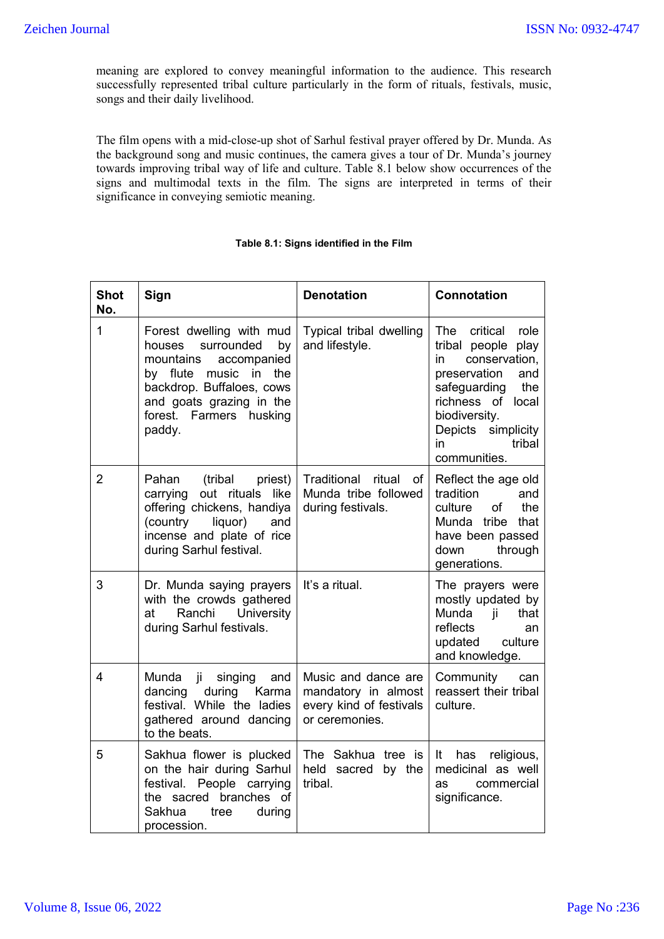meaning are explored to convey meaningful information to the audience. This research successfully represented tribal culture particularly in the form of rituals, festivals, music, songs and their daily livelihood.

The film opens with a mid-close-up shot of Sarhul festival prayer offered by Dr. Munda. As the background song and music continues, the camera gives a tour of Dr. Munda's journey towards improving tribal way of life and culture. Table 8.1 below show occurrences of the signs and multimodal texts in the film. The signs are interpreted in terms of their significance in conveying semiotic meaning.

| <b>Shot</b><br>No. | Sign                                                                                                                                                                                                      | <b>Denotation</b>                                                                       | <b>Connotation</b>                                                                                                                                                                                                   |
|--------------------|-----------------------------------------------------------------------------------------------------------------------------------------------------------------------------------------------------------|-----------------------------------------------------------------------------------------|----------------------------------------------------------------------------------------------------------------------------------------------------------------------------------------------------------------------|
| 1                  | Forest dwelling with mud<br>houses<br>surrounded<br>by<br>mountains<br>accompanied<br>by flute music in the<br>backdrop. Buffaloes, cows<br>and goats grazing in the<br>forest. Farmers husking<br>paddy. | Typical tribal dwelling<br>and lifestyle.                                               | The<br>critical<br>role<br>tribal people<br>play<br>conservation,<br>in<br>preservation<br>and<br>safeguarding<br>the<br>richness of local<br>biodiversity.<br>simplicity<br>Depicts<br>tribal<br>in<br>communities. |
| $\overline{2}$     | (tribal<br>Pahan<br>priest)<br>out rituals<br>carrying<br>like<br>offering chickens, handiya<br>(country<br>liquor)<br>and<br>incense and plate of rice<br>during Sarhul festival.                        | Traditional<br>ritual<br>of<br>Munda tribe followed<br>during festivals.                | Reflect the age old<br>tradition<br>and<br>the<br>culture<br>οf<br>Munda tribe that<br>have been passed<br>through<br>down<br>generations.                                                                           |
| 3                  | Dr. Munda saying prayers<br>with the crowds gathered<br>Ranchi<br>University<br>at<br>during Sarhul festivals.                                                                                            | It's a ritual.                                                                          | The prayers were<br>mostly updated by<br>Munda ji<br>that<br>reflects<br>an<br>updated<br>culture<br>and knowledge.                                                                                                  |
| 4                  | Munda ji singing<br>and<br>Karma<br>dancing during<br>festival. While the ladies<br>gathered around dancing<br>to the beats.                                                                              | Music and dance are<br>mandatory in almost<br>every kind of festivals<br>or ceremonies. | Community<br>can<br>reassert their tribal<br>culture.                                                                                                                                                                |
| 5                  | Sakhua flower is plucked<br>on the hair during Sarhul<br>festival. People carrying<br>the sacred branches of<br>Sakhua<br>during<br>tree<br>procession.                                                   | The Sakhua tree is<br>held sacred<br>by the<br>tribal.                                  | religious,<br>It<br>has<br>medicinal as well<br>commercial<br>as<br>significance.                                                                                                                                    |

### **Table 8.1: Signs identified in the Film**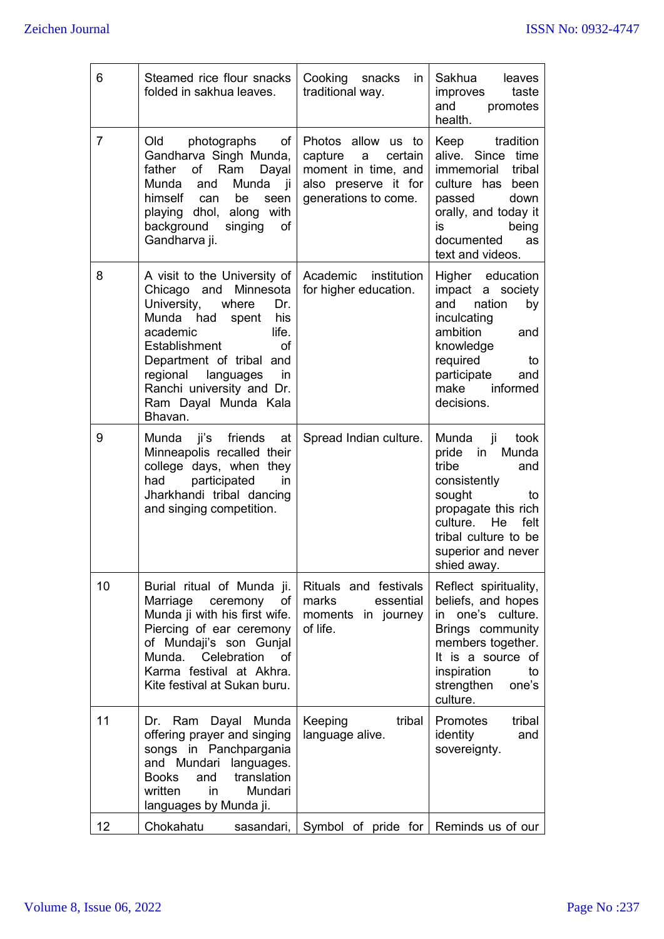| 6  | Steamed rice flour snacks<br>folded in sakhua leaves.                                                                                                                                                                                                                                       | Cooking<br>snacks<br>in I<br>traditional way.                                                                                   | Sakhua<br>leaves<br>improves<br>taste<br>and<br>promotes<br>health.                                                                                                                                         |
|----|---------------------------------------------------------------------------------------------------------------------------------------------------------------------------------------------------------------------------------------------------------------------------------------------|---------------------------------------------------------------------------------------------------------------------------------|-------------------------------------------------------------------------------------------------------------------------------------------------------------------------------------------------------------|
| 7  | Old<br>photographs<br>of<br>Gandharva Singh Munda,<br>Ram<br>father<br>of<br>Dayal<br>Munda<br>Munda<br>and<br>– ji<br>himself<br>be<br>can<br>seen<br>playing dhol, along with<br>background<br>singing<br>of<br>Gandharva ji.                                                             | Photos allow us to<br>capture<br>certain<br>$\mathsf{a}$<br>moment in time, and<br>also preserve it for<br>generations to come. | Keep<br>tradition<br>alive. Since time<br>tribal<br>immemorial<br>culture has been<br>passed<br>down<br>orally, and today it<br>being<br>is<br>documented<br>as<br>text and videos.                         |
| 8  | A visit to the University of<br>Minnesota<br>Chicago<br>and<br>University,<br>where<br>Dr.<br>Munda had<br>spent<br>his<br>academic<br>life.<br>Establishment<br>of<br>Department of tribal and<br>regional languages<br>in<br>Ranchi university and Dr.<br>Ram Dayal Munda Kala<br>Bhavan. | Academic institution<br>for higher education.                                                                                   | Higher education<br>impact a society<br>nation<br>by<br>and<br>inculcating<br>ambition<br>and<br>knowledge<br>required<br>to<br>participate<br>and<br>make<br>informed<br>decisions.                        |
| 9  | Munda ji's<br>friends at<br>Minneapolis recalled their<br>college days, when they<br>participated<br>had<br>in.<br>Jharkhandi tribal dancing<br>and singing competition.                                                                                                                    | Spread Indian culture.                                                                                                          | Munda<br>- ji<br>took<br>Munda<br>pride<br>in<br>tribe<br>and<br>consistently<br>sought<br>to<br>propagate this rich<br>He<br>culture.<br>felt<br>tribal culture to be<br>superior and never<br>shied away. |
| 10 | Burial ritual of Munda ji.<br>Marriage<br>ceremony<br>of<br>Munda ji with his first wife.<br>Piercing of ear ceremony<br>of Mundaji's son Gunjal<br>Munda.<br>Celebration<br>of<br>Karma festival at Akhra.<br>Kite festival at Sukan buru.                                                 | Rituals and festivals<br>marks<br>essential<br>moments in journey<br>of life.                                                   | Reflect spirituality,<br>beliefs, and hopes<br>one's culture.<br>in<br>Brings community<br>members together.<br>It is a source of<br>inspiration<br>to<br>strengthen<br>one's<br>culture.                   |
| 11 | Ram Dayal Munda<br>Dr.<br>offering prayer and singing<br>songs in Panchpargania<br>and Mundari languages.<br><b>Books</b><br>translation<br>and<br>written<br>Mundari<br>in.<br>languages by Munda ji.                                                                                      | tribal<br>Keeping<br>language alive.                                                                                            | Promotes<br>tribal<br>identity<br>and<br>sovereignty.                                                                                                                                                       |
| 12 | Chokahatu<br>sasandari,                                                                                                                                                                                                                                                                     | Symbol of pride for Reminds us of our                                                                                           |                                                                                                                                                                                                             |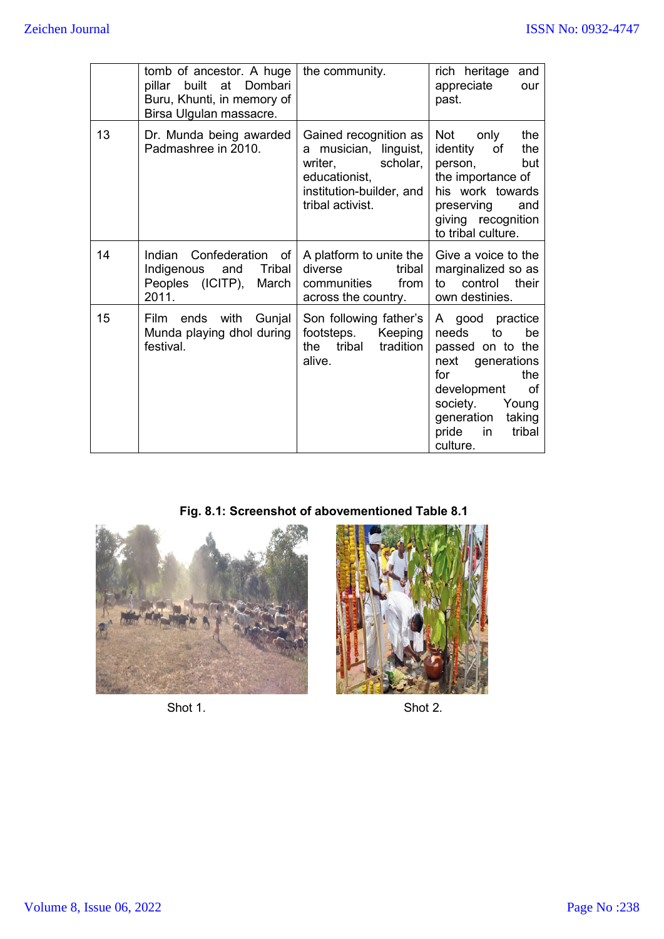|    | tomb of ancestor. A huge<br>Dombari<br>built<br>at<br>pillar<br>Buru, Khunti, in memory of<br>Birsa Ulgulan massacre. | the community.                                                                                                                         | rich heritage<br>and<br>appreciate<br>our<br>past.                                                                                                                                                |
|----|-----------------------------------------------------------------------------------------------------------------------|----------------------------------------------------------------------------------------------------------------------------------------|---------------------------------------------------------------------------------------------------------------------------------------------------------------------------------------------------|
| 13 | Dr. Munda being awarded<br>Padmashree in 2010.                                                                        | Gained recognition as<br>a musician, linguist,<br>writer,<br>scholar,<br>educationist,<br>institution-builder, and<br>tribal activist. | Not<br>the<br>only<br>identity<br>of<br>the<br>person,<br>but<br>the importance of<br>his work towards<br>preserving<br>and<br>giving recognition<br>to tribal culture.                           |
| 14 | Confederation of<br>Indian<br>Tribal<br>Indigenous<br>and<br>Peoples (ICITP),<br>March<br>2011.                       | A platform to unite the<br>diverse<br>tribal<br>communities<br>from<br>across the country.                                             | Give a voice to the<br>marginalized so as<br>control<br>their<br>to<br>own destinies.                                                                                                             |
| 15 | Film ends with<br>Gunjal<br>Munda playing dhol during<br>festival.                                                    | Son following father's<br>footsteps.<br>Keeping<br>tribal<br>tradition<br>the<br>alive.                                                | A good practice<br>needs<br>be<br>to<br>passed on to the<br>next generations<br>for<br>the<br>of<br>development<br>society.<br>Young<br>generation<br>taking<br>pride<br>tribal<br>in<br>culture. |

**Fig. 8.1: Screenshot of abovementioned Table 8.1**



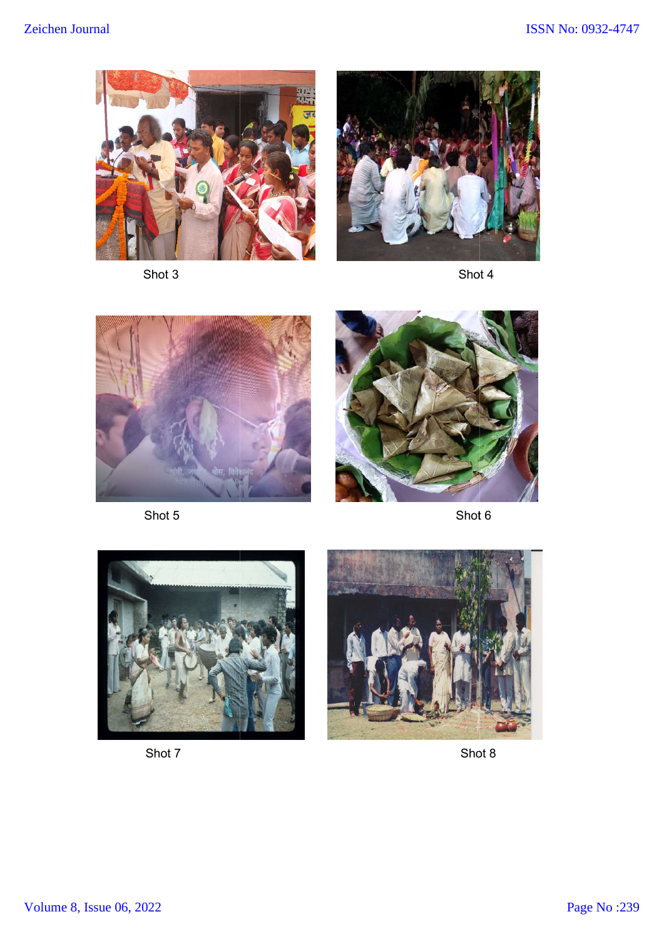

Shot 3



Shot 4



Shot 5



Shot 6



Shot 7



Shot 8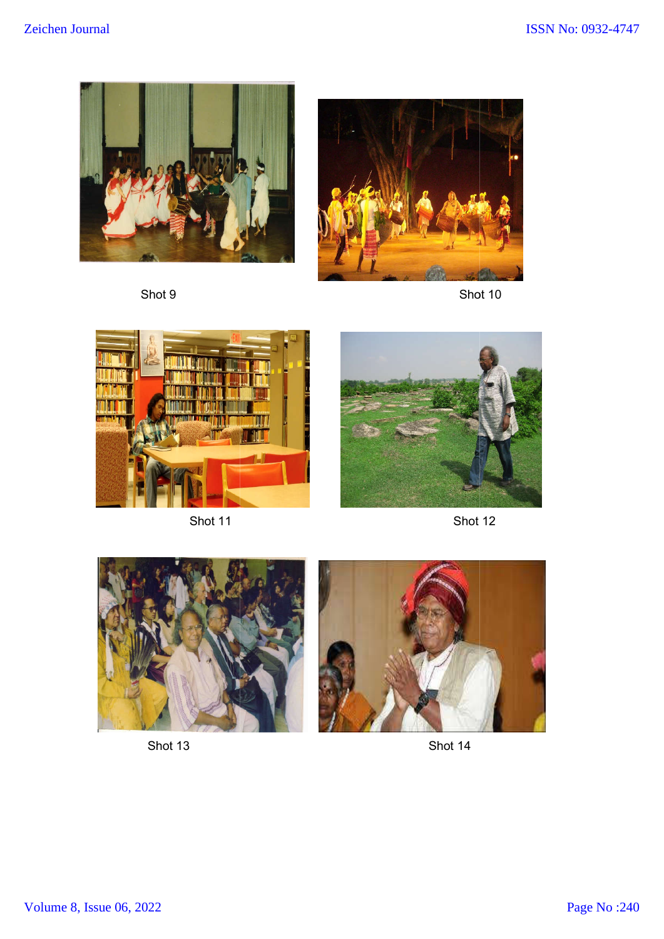

Shot 9



Shot 10 Shot 10



Shot 11



Shot 12



Shot 13

Shot 14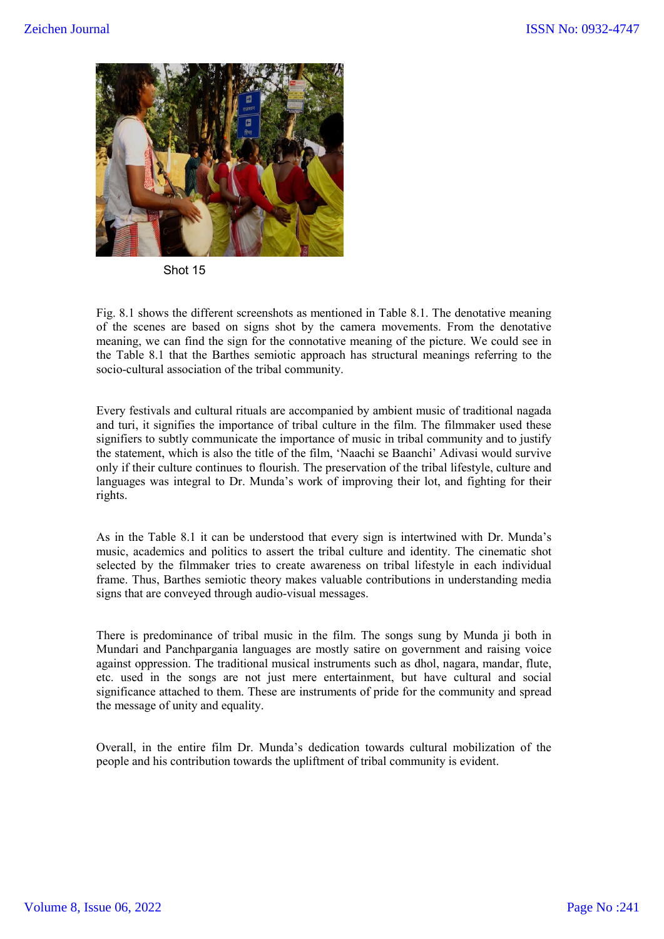

Shot 15

Fig. 8.1 shows the different screenshots as mentioned in Table 8.1. The denotative meaning of the scenes are based on signs shot by the camera movements. From the denotative meaning, we can find the sign for the connotative meaning of the picture. We could see in the Table 8.1 that the Barthes semiotic approach has structural meanings referring to the socio-cultural association of the tribal community.

Every festivals and cultural rituals are accompanied by ambient music of traditional nagada and turi, it signifies the importance of tribal culture in the film. The filmmaker used these signifiers to subtly communicate the importance of music in tribal community and to justify the statement, which is also the title of the film, 'Naachi se Baanchi' Adivasi would survive only if their culture continues to flourish. The preservation of the tribal lifestyle, culture and languages was integral to Dr. Munda's work of improving their lot, and fighting for their rights.

As in the Table 8.1 it can be understood that every sign is intertwined with Dr. Munda's music, academics and politics to assert the tribal culture and identity. The cinematic shot selected by the filmmaker tries to create awareness on tribal lifestyle in each individual frame. Thus, Barthes semiotic theory makes valuable contributions in understanding media signs that are conveyed through audio-visual messages.

There is predominance of tribal music in the film. The songs sung by Munda ji both in Mundari and Panchpargania languages are mostly satire on government and raising voice against oppression. The traditional musical instruments such as dhol, nagara, mandar, flute, etc. used in the songs are not just mere entertainment, but have cultural and social significance attached to them. These are instruments of pride for the community and spread the message of unity and equality.

Overall, in the entire film Dr. Munda's dedication towards cultural mobilization of the people and his contribution towards the upliftment of tribal community is evident.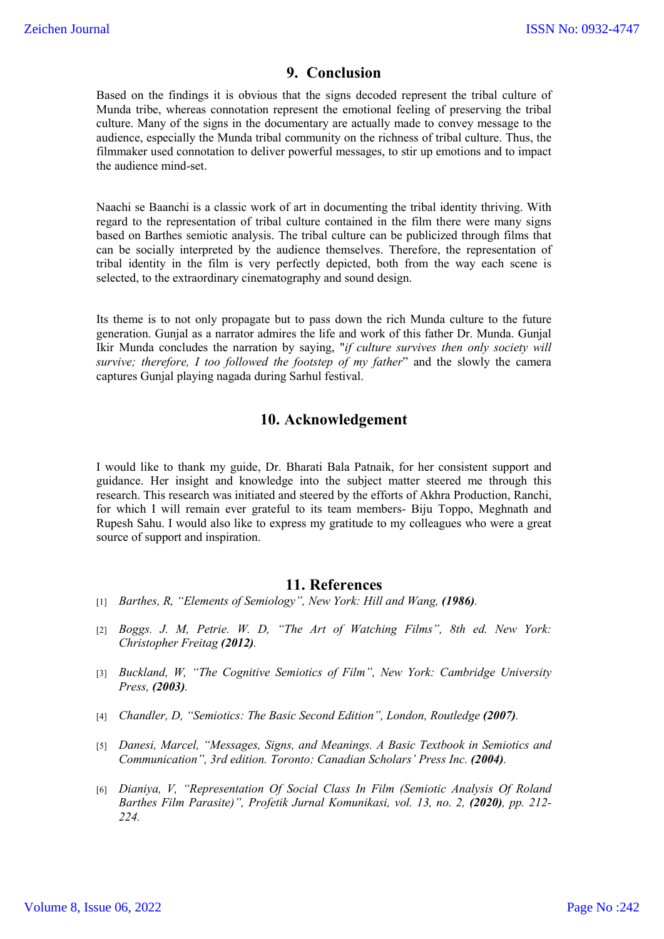## **9. Conclusion**

Based on the findings it is obvious that the signs decoded represent the tribal culture of Munda tribe, whereas connotation represent the emotional feeling of preserving the tribal culture. Many of the signs in the documentary are actually made to convey message to the audience, especially the Munda tribal community on the richness of tribal culture. Thus, the filmmaker used connotation to deliver powerful messages, to stir up emotions and to impact the audience mind-set.

Naachi se Baanchi is a classic work of art in documenting the tribal identity thriving. With regard to the representation of tribal culture contained in the film there were many signs based on Barthes semiotic analysis. The tribal culture can be publicized through films that can be socially interpreted by the audience themselves. Therefore, the representation of tribal identity in the film is very perfectly depicted, both from the way each scene is selected, to the extraordinary cinematography and sound design.

Its theme is to not only propagate but to pass down the rich Munda culture to the future generation. Gunjal as a narrator admires the life and work of this father Dr. Munda. Gunjal Ikir Munda concludes the narration by saying, "*if culture survives then only society will survive; therefore, I too followed the footstep of my father*" and the slowly the camera captures Gunjal playing nagada during Sarhul festival.

# **10. Acknowledgement**

I would like to thank my guide, Dr. Bharati Bala Patnaik, for her consistent support and guidance. Her insight and knowledge into the subject matter steered me through this research. This research was initiated and steered by the efforts of Akhra Production, Ranchi, for which I will remain ever grateful to its team members- Biju Toppo, Meghnath and Rupesh Sahu. I would also like to express my gratitude to my colleagues who were a great source of support and inspiration.

### **11. References**

- [1] *Barthes, R, "Elements of Semiology", New York: Hill and Wang, (1986).*
- [2] *Boggs. J. M, Petrie. W. D, "The Art of Watching Films", 8th ed. New York: Christopher Freitag (2012).*
- [3] *Buckland, W, "The Cognitive Semiotics of Film", New York: Cambridge University Press, (2003).*
- [4] *Chandler, D, "Semiotics: The Basic Second Edition", London, Routledge (2007).*
- [5] *Danesi, Marcel, "Messages, Signs, and Meanings. A Basic Textbook in Semiotics and Communication", 3rd edition. Toronto: Canadian Scholars' Press Inc. (2004).*
- [6] *Dianiya, V, "Representation Of Social Class In Film (Semiotic Analysis Of Roland Barthes Film Parasite)", Profetik Jurnal Komunikasi, vol. 13, no. 2, (2020), pp. 212- 224.*